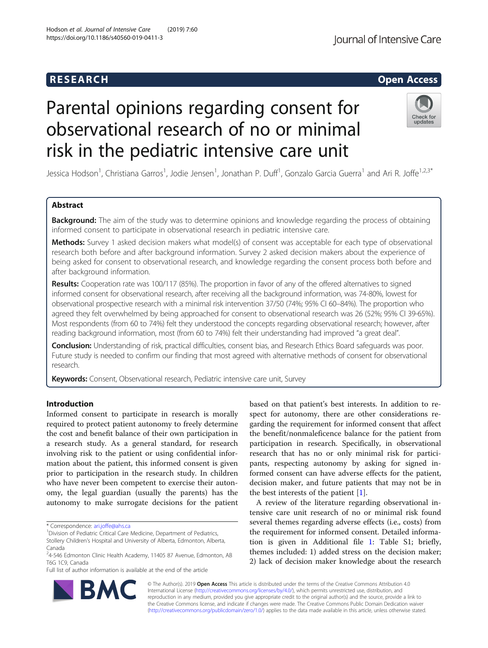# R E S EAR CH Open Access

# Parental opinions regarding consent for observational research of no or minimal risk in the pediatric intensive care unit

Jessica Hodson<sup>1</sup>, Christiana Garros<sup>1</sup>, Jodie Jensen<sup>1</sup>, Jonathan P. Duff<sup>1</sup>, Gonzalo Garcia Guerra<sup>1</sup> and Ari R. Joffe<sup>1,2,3\*</sup>

# Abstract

**Background:** The aim of the study was to determine opinions and knowledge regarding the process of obtaining informed consent to participate in observational research in pediatric intensive care.

Methods: Survey 1 asked decision makers what model(s) of consent was acceptable for each type of observational research both before and after background information. Survey 2 asked decision makers about the experience of being asked for consent to observational research, and knowledge regarding the consent process both before and after background information.

Results: Cooperation rate was 100/117 (85%). The proportion in favor of any of the offered alternatives to signed informed consent for observational research, after receiving all the background information, was 74-80%, lowest for observational prospective research with a minimal risk intervention 37/50 (74%; 95% CI 60–84%). The proportion who agreed they felt overwhelmed by being approached for consent to observational research was 26 (52%; 95% CI 39-65%). Most respondents (from 60 to 74%) felt they understood the concepts regarding observational research; however, after reading background information, most (from 60 to 74%) felt their understanding had improved "a great deal".

Conclusion: Understanding of risk, practical difficulties, consent bias, and Research Ethics Board safeguards was poor. Future study is needed to confirm our finding that most agreed with alternative methods of consent for observational research.

Keywords: Consent, Observational research, Pediatric intensive care unit, Survey

# Introduction

Informed consent to participate in research is morally required to protect patient autonomy to freely determine the cost and benefit balance of their own participation in a research study. As a general standard, for research involving risk to the patient or using confidential information about the patient, this informed consent is given prior to participation in the research study. In children who have never been competent to exercise their autonomy, the legal guardian (usually the parents) has the autonomy to make surrogate decisions for the patient

\* Correspondence: [ari.joffe@ahs.ca](mailto:ari.joffe@ahs.ca) <sup>1</sup>

Full list of author information is available at the end of the article

based on that patient's best interests. In addition to respect for autonomy, there are other considerations regarding the requirement for informed consent that affect the benefit/nonmaleficence balance for the patient from participation in research. Specifically, in observational research that has no or only minimal risk for participants, respecting autonomy by asking for signed informed consent can have adverse effects for the patient, decision maker, and future patients that may not be in the best interests of the patient [\[1](#page-7-0)].

A review of the literature regarding observational intensive care unit research of no or minimal risk found several themes regarding adverse effects (i.e., costs) from the requirement for informed consent. Detailed information is given in Additional file [1:](#page-7-0) Table S1; briefly, themes included: 1) added stress on the decision maker; 2) lack of decision maker knowledge about the research

© The Author(s). 2019 **Open Access** This article is distributed under the terms of the Creative Commons Attribution 4.0 International License [\(http://creativecommons.org/licenses/by/4.0/](http://creativecommons.org/licenses/by/4.0/)), which permits unrestricted use, distribution, and reproduction in any medium, provided you give appropriate credit to the original author(s) and the source, provide a link to the Creative Commons license, and indicate if changes were made. The Creative Commons Public Domain Dedication waiver [\(http://creativecommons.org/publicdomain/zero/1.0/](http://creativecommons.org/publicdomain/zero/1.0/)) applies to the data made available in this article, unless otherwise stated.





Check for updates

<sup>&</sup>lt;sup>1</sup> Division of Pediatric Critical Care Medicine, Department of Pediatrics,

Stollery Children's Hospital and University of Alberta, Edmonton, Alberta, Canada

<sup>&</sup>lt;sup>2</sup>4-546 Edmonton Clinic Health Academy, 11405 87 Avenue, Edmonton, AB T6G 1C9, Canada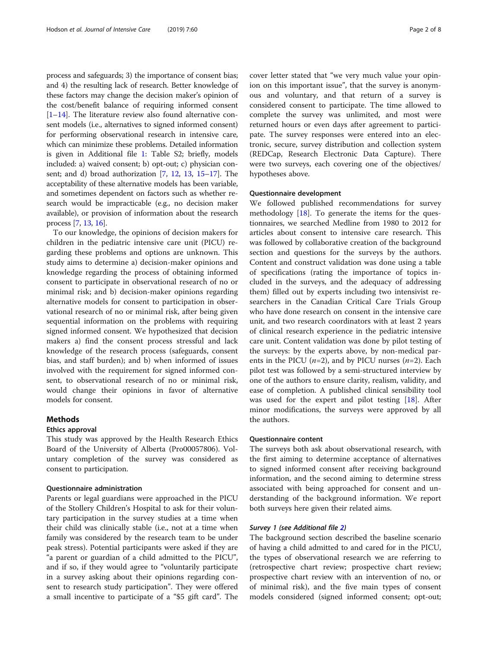process and safeguards; 3) the importance of consent bias; and 4) the resulting lack of research. Better knowledge of these factors may change the decision maker's opinion of the cost/benefit balance of requiring informed consent [[1](#page-7-0)–[14](#page-7-0)]. The literature review also found alternative consent models (i.e., alternatives to signed informed consent) for performing observational research in intensive care, which can minimize these problems. Detailed information is given in Additional file [1](#page-7-0): Table S2; briefly, models included: a) waived consent; b) opt-out; c) physician consent; and d) broad authorization [[7,](#page-7-0) [12](#page-7-0), [13](#page-7-0), [15](#page-7-0)–[17](#page-7-0)]. The acceptability of these alternative models has been variable, and sometimes dependent on factors such as whether research would be impracticable (e.g., no decision maker available), or provision of information about the research process [\[7](#page-7-0), [13](#page-7-0), [16\]](#page-7-0).

To our knowledge, the opinions of decision makers for children in the pediatric intensive care unit (PICU) regarding these problems and options are unknown. This study aims to determine a) decision-maker opinions and knowledge regarding the process of obtaining informed consent to participate in observational research of no or minimal risk; and b) decision-maker opinions regarding alternative models for consent to participation in observational research of no or minimal risk, after being given sequential information on the problems with requiring signed informed consent. We hypothesized that decision makers a) find the consent process stressful and lack knowledge of the research process (safeguards, consent bias, and staff burden); and b) when informed of issues involved with the requirement for signed informed consent, to observational research of no or minimal risk, would change their opinions in favor of alternative models for consent.

# **Methods**

#### Ethics approval

This study was approved by the Health Research Ethics Board of the University of Alberta (Pro00057806). Voluntary completion of the survey was considered as consent to participation.

# Questionnaire administration

Parents or legal guardians were approached in the PICU of the Stollery Children's Hospital to ask for their voluntary participation in the survey studies at a time when their child was clinically stable (i.e., not at a time when family was considered by the research team to be under peak stress). Potential participants were asked if they are "a parent or guardian of a child admitted to the PICU", and if so, if they would agree to "voluntarily participate in a survey asking about their opinions regarding consent to research study participation". They were offered a small incentive to participate of a "\$5 gift card". The cover letter stated that "we very much value your opinion on this important issue", that the survey is anonymous and voluntary, and that return of a survey is considered consent to participate. The time allowed to complete the survey was unlimited, and most were returned hours or even days after agreement to participate. The survey responses were entered into an electronic, secure, survey distribution and collection system (REDCap, Research Electronic Data Capture). There were two surveys, each covering one of the objectives/ hypotheses above.

#### Questionnaire development

We followed published recommendations for survey methodology [\[18](#page-7-0)]. To generate the items for the questionnaires, we searched Medline from 1980 to 2012 for articles about consent to intensive care research. This was followed by collaborative creation of the background section and questions for the surveys by the authors. Content and construct validation was done using a table of specifications (rating the importance of topics included in the surveys, and the adequacy of addressing them) filled out by experts including two intensivist researchers in the Canadian Critical Care Trials Group who have done research on consent in the intensive care unit, and two research coordinators with at least 2 years of clinical research experience in the pediatric intensive care unit. Content validation was done by pilot testing of the surveys: by the experts above, by non-medical parents in the PICU ( $n=2$ ), and by PICU nurses ( $n=2$ ). Each pilot test was followed by a semi-structured interview by one of the authors to ensure clarity, realism, validity, and ease of completion. A published clinical sensibility tool was used for the expert and pilot testing [[18\]](#page-7-0). After minor modifications, the surveys were approved by all the authors.

# Questionnaire content

The surveys both ask about observational research, with the first aiming to determine acceptance of alternatives to signed informed consent after receiving background information, and the second aiming to determine stress associated with being approached for consent and understanding of the background information. We report both surveys here given their related aims.

## Survey 1 (see Additional file [2](#page-7-0))

The background section described the baseline scenario of having a child admitted to and cared for in the PICU, the types of observational research we are referring to (retrospective chart review; prospective chart review; prospective chart review with an intervention of no, or of minimal risk), and the five main types of consent models considered (signed informed consent; opt-out;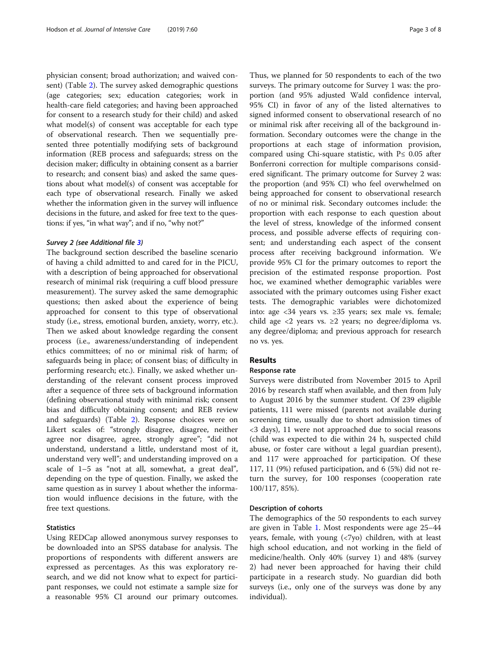physician consent; broad authorization; and waived consent) (Table [2\)](#page-4-0). The survey asked demographic questions (age categories; sex; education categories; work in health-care field categories; and having been approached for consent to a research study for their child) and asked what model(s) of consent was acceptable for each type of observational research. Then we sequentially presented three potentially modifying sets of background information (REB process and safeguards; stress on the decision maker; difficulty in obtaining consent as a barrier to research; and consent bias) and asked the same questions about what model(s) of consent was acceptable for each type of observational research. Finally we asked whether the information given in the survey will influence decisions in the future, and asked for free text to the questions: if yes, "in what way"; and if no, "why not?"

### Survey 2 (see Additional file [3](#page-7-0))

The background section described the baseline scenario of having a child admitted to and cared for in the PICU, with a description of being approached for observational research of minimal risk (requiring a cuff blood pressure measurement). The survey asked the same demographic questions; then asked about the experience of being approached for consent to this type of observational study (i.e., stress, emotional burden, anxiety, worry, etc.). Then we asked about knowledge regarding the consent process (i.e., awareness/understanding of independent ethics committees; of no or minimal risk of harm; of safeguards being in place; of consent bias; of difficulty in performing research; etc.). Finally, we asked whether understanding of the relevant consent process improved after a sequence of three sets of background information (defining observational study with minimal risk; consent bias and difficulty obtaining consent; and REB review and safeguards) (Table [2](#page-4-0)). Response choices were on Likert scales of: "strongly disagree, disagree, neither agree nor disagree, agree, strongly agree"; "did not understand, understand a little, understand most of it, understand very well"; and understanding improved on a scale of 1–5 as "not at all, somewhat, a great deal", depending on the type of question. Finally, we asked the same question as in survey 1 about whether the information would influence decisions in the future, with the free text questions.

#### Statistics

Using REDCap allowed anonymous survey responses to be downloaded into an SPSS database for analysis. The proportions of respondents with different answers are expressed as percentages. As this was exploratory research, and we did not know what to expect for participant responses, we could not estimate a sample size for a reasonable 95% CI around our primary outcomes.

Thus, we planned for 50 respondents to each of the two surveys. The primary outcome for Survey 1 was: the proportion (and 95% adjusted Wald confidence interval, 95% CI) in favor of any of the listed alternatives to signed informed consent to observational research of no or minimal risk after receiving all of the background information. Secondary outcomes were the change in the proportions at each stage of information provision, compared using Chi-square statistic, with  $P \leq 0.05$  after Bonferroni correction for multiple comparisons considered significant. The primary outcome for Survey 2 was: the proportion (and 95% CI) who feel overwhelmed on being approached for consent to observational research of no or minimal risk. Secondary outcomes include: the proportion with each response to each question about the level of stress, knowledge of the informed consent process, and possible adverse effects of requiring consent; and understanding each aspect of the consent process after receiving background information. We provide 95% CI for the primary outcomes to report the precision of the estimated response proportion. Post hoc, we examined whether demographic variables were associated with the primary outcomes using Fisher exact tests. The demographic variables were dichotomized into: age <34 years vs. ≥35 years; sex male vs. female; child age <2 years vs.  $\geq$ 2 years; no degree/diploma vs. any degree/diploma; and previous approach for research no vs. yes.

# Results

# Response rate

Surveys were distributed from November 2015 to April 2016 by research staff when available, and then from July to August 2016 by the summer student. Of 239 eligible patients, 111 were missed (parents not available during screening time, usually due to short admission times of <3 days), 11 were not approached due to social reasons (child was expected to die within 24 h, suspected child abuse, or foster care without a legal guardian present), and 117 were approached for participation. Of these 117, 11 (9%) refused participation, and 6 (5%) did not return the survey, for 100 responses (cooperation rate 100/117, 85%).

#### Description of cohorts

The demographics of the 50 respondents to each survey are given in Table [1](#page-3-0). Most respondents were age 25–44 years, female, with young (<7yo) children, with at least high school education, and not working in the field of medicine/health. Only 40% (survey 1) and 48% (survey 2) had never been approached for having their child participate in a research study. No guardian did both surveys (i.e., only one of the surveys was done by any individual).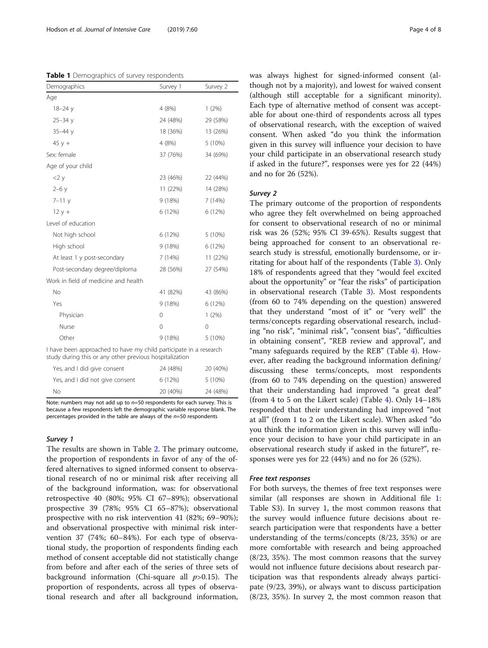<span id="page-3-0"></span>Table 1 Demographics of survey respondents

| Demographics                                                                                                                 | Survey 1 | Survey 2 |  |  |  |
|------------------------------------------------------------------------------------------------------------------------------|----------|----------|--|--|--|
| Age                                                                                                                          |          |          |  |  |  |
| $18 - 24y$                                                                                                                   | 4(8%)    | 1(2%)    |  |  |  |
| $25 - 34y$                                                                                                                   | 24 (48%) | 29 (58%) |  |  |  |
| $35 - 44$ y                                                                                                                  | 18 (36%) | 13 (26%) |  |  |  |
| $45y +$                                                                                                                      | 4 (8%)   | 5 (10%)  |  |  |  |
| Sex: female                                                                                                                  | 37 (76%) | 34 (69%) |  |  |  |
| Age of your child                                                                                                            |          |          |  |  |  |
| $2 \times$                                                                                                                   | 23 (46%) | 22 (44%) |  |  |  |
| $2 - 6y$                                                                                                                     | 11 (22%) | 14 (28%) |  |  |  |
| $7 - 11y$                                                                                                                    | 9(18%)   | 7(14%)   |  |  |  |
| $12y +$                                                                                                                      | 6 (12%)  | 6 (12%)  |  |  |  |
| Level of education                                                                                                           |          |          |  |  |  |
| Not high school                                                                                                              | 6 (12%)  | 5 (10%)  |  |  |  |
| High school                                                                                                                  | 9(18%)   | 6 (12%)  |  |  |  |
| At least 1 y post-secondary                                                                                                  | 7(14%)   | 11 (22%) |  |  |  |
| Post-secondary degree/diploma                                                                                                | 28 (56%) | 27 (54%) |  |  |  |
| Work in field of medicine and health                                                                                         |          |          |  |  |  |
| No                                                                                                                           | 41 (82%) | 43 (86%) |  |  |  |
| Yes                                                                                                                          | 9(18%)   | 6 (12%)  |  |  |  |
| Physician                                                                                                                    | $\Omega$ | 1(2%)    |  |  |  |
| Nurse                                                                                                                        | $\Omega$ | $\Omega$ |  |  |  |
| Other                                                                                                                        | 9(18%)   | 5 (10%)  |  |  |  |
| I have been approached to have my child participate in a research<br>study during this or any other previous hospitalization |          |          |  |  |  |
|                                                                                                                              |          |          |  |  |  |

Yes, and I did give consent 24 (48%) 20 (40%) Yes, and I did not give consent  $6(12%)$  5 (10%) No 20 (40%) 24 (48%)

Note: numbers may not add up to  $n=50$  respondents for each survey. This is because a few respondents left the demographic variable response blank. The percentages provided in the table are always of the  $n=50$  respondents

# Survey 1

The results are shown in Table [2.](#page-4-0) The primary outcome, the proportion of respondents in favor of any of the offered alternatives to signed informed consent to observational research of no or minimal risk after receiving all of the background information, was: for observational retrospective 40 (80%; 95% CI 67–89%); observational prospective 39 (78%; 95% CI 65–87%); observational prospective with no risk intervention 41 (82%; 69–90%); and observational prospective with minimal risk intervention 37 (74%; 60–84%). For each type of observational study, the proportion of respondents finding each method of consent acceptable did not statistically change from before and after each of the series of three sets of background information (Chi-square all  $p > 0.15$ ). The proportion of respondents, across all types of observational research and after all background information,

was always highest for signed-informed consent (although not by a majority), and lowest for waived consent (although still acceptable for a significant minority). Each type of alternative method of consent was acceptable for about one-third of respondents across all types of observational research, with the exception of waived consent. When asked "do you think the information given in this survey will influence your decision to have your child participate in an observational research study if asked in the future?", responses were yes for 22 (44%) and no for 26 (52%).

# Survey 2

The primary outcome of the proportion of respondents who agree they felt overwhelmed on being approached for consent to observational research of no or minimal risk was 26 (52%; 95% CI 39-65%). Results suggest that being approached for consent to an observational research study is stressful, emotionally burdensome, or irritating for about half of the respondents (Table [3](#page-4-0)). Only 18% of respondents agreed that they "would feel excited about the opportunity" or "fear the risks" of participation in observational research (Table [3](#page-4-0)). Most respondents (from 60 to 74% depending on the question) answered that they understand "most of it" or "very well" the terms/concepts regarding observational research, including "no risk", "minimal risk", "consent bias", "difficulties in obtaining consent", "REB review and approval", and "many safeguards required by the REB" (Table [4\)](#page-5-0). However, after reading the background information defining/ discussing these terms/concepts, most respondents (from 60 to 74% depending on the question) answered that their understanding had improved "a great deal" (from 4 to 5 on the Likert scale) (Table [4\)](#page-5-0). Only 14–18% responded that their understanding had improved "not at all" (from 1 to 2 on the Likert scale). When asked "do you think the information given in this survey will influence your decision to have your child participate in an observational research study if asked in the future?", responses were yes for 22 (44%) and no for 26 (52%).

#### Free text responses

For both surveys, the themes of free text responses were similar (all responses are shown in Additional file [1](#page-7-0): Table S3). In survey 1, the most common reasons that the survey would influence future decisions about research participation were that respondents have a better understanding of the terms/concepts (8/23, 35%) or are more comfortable with research and being approached (8/23, 35%). The most common reasons that the survey would not influence future decisions about research participation was that respondents already always participate (9/23, 39%), or always want to discuss participation (8/23, 35%). In survey 2, the most common reason that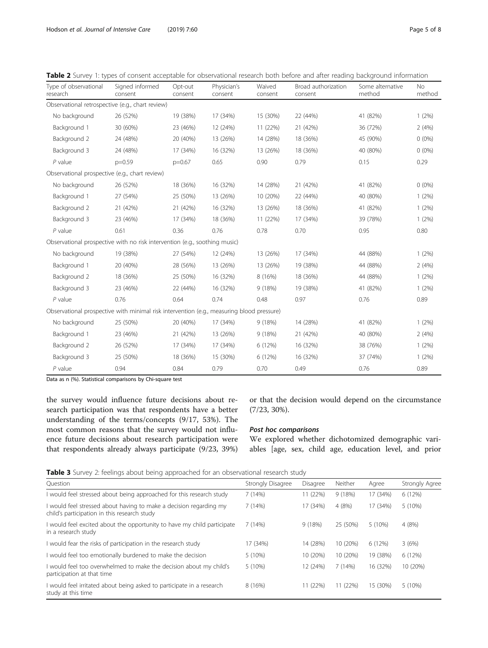<span id="page-4-0"></span>

|  |  |  |  |  |  |  | Table 2 Survey 1: types of consent acceptable for observational research both before and after reading background information |  |
|--|--|--|--|--|--|--|-------------------------------------------------------------------------------------------------------------------------------|--|
|--|--|--|--|--|--|--|-------------------------------------------------------------------------------------------------------------------------------|--|

| Type of observational<br>research                                                         | Signed informed<br>consent | Opt-out<br>consent | Physician's<br>consent | Waived<br>consent | Broad authorization<br>consent | Some alternative<br>method | No<br>method |
|-------------------------------------------------------------------------------------------|----------------------------|--------------------|------------------------|-------------------|--------------------------------|----------------------------|--------------|
| Observational retrospective (e.g., chart review)                                          |                            |                    |                        |                   |                                |                            |              |
| No background                                                                             | 26 (52%)                   | 19 (38%)           | 17 (34%)               | 15 (30%)          | 22 (44%)                       | 41 (82%)                   | $1(2\%)$     |
| Background 1                                                                              | 30 (60%)                   | 23 (46%)           | 12 (24%)               | 11 (22%)          | 21 (42%)                       | 36 (72%)                   | 2(4%)        |
| Background 2                                                                              | 24 (48%)                   | 20 (40%)           | 13 (26%)               | 14 (28%)          | 18 (36%)                       | 45 (90%)                   | $0(0\%)$     |
| Background 3                                                                              | 24 (48%)                   | 17 (34%)           | 16 (32%)               | 13 (26%)          | 18 (36%)                       | 40 (80%)                   | $0(0\%)$     |
| $P$ value                                                                                 | $p=0.59$                   | $p=0.67$           | 0.65                   | 0.90              | 0.79                           | 0.15                       | 0.29         |
| Observational prospective (e.g., chart review)                                            |                            |                    |                        |                   |                                |                            |              |
| No background                                                                             | 26 (52%)                   | 18 (36%)           | 16 (32%)               | 14 (28%)          | 21 (42%)                       | 41 (82%)                   | $0(0\%)$     |
| Background 1                                                                              | 27 (54%)                   | 25 (50%)           | 13 (26%)               | 10 (20%)          | 22 (44%)                       | 40 (80%)                   | 1(2%)        |
| Background 2                                                                              | 21 (42%)                   | 21 (42%)           | 16 (32%)               | 13 (26%)          | 18 (36%)                       | 41 (82%)                   | 1(2%)        |
| Background 3                                                                              | 23 (46%)                   | 17 (34%)           | 18 (36%)               | 11 (22%)          | 17 (34%)                       | 39 (78%)                   | $1(2\%)$     |
| $P$ value                                                                                 | 0.61                       | 0.36               | 0.76                   | 0.78              | 0.70                           | 0.95                       | 0.80         |
| Observational prospective with no risk intervention (e.g., soothing music)                |                            |                    |                        |                   |                                |                            |              |
| No background                                                                             | 19 (38%)                   | 27 (54%)           | 12 (24%)               | 13 (26%)          | 17 (34%)                       | 44 (88%)                   | $1(2\%)$     |
| Background 1                                                                              | 20 (40%)                   | 28 (56%)           | 13 (26%)               | 13 (26%)          | 19 (38%)                       | 44 (88%)                   | 2(4%)        |
| Background 2                                                                              | 18 (36%)                   | 25 (50%)           | 16 (32%)               | 8 (16%)           | 18 (36%)                       | 44 (88%)                   | $1(2\%)$     |
| Background 3                                                                              | 23 (46%)                   | 22 (44%)           | 16 (32%)               | 9 (18%)           | 19 (38%)                       | 41 (82%)                   | $1(2\%)$     |
| $P$ value                                                                                 | 0.76                       | 0.64               | 0.74                   | 0.48              | 0.97                           | 0.76                       | 0.89         |
| Observational prospective with minimal risk intervention (e.g., measuring blood pressure) |                            |                    |                        |                   |                                |                            |              |
| No background                                                                             | 25 (50%)                   | 20 (40%)           | 17 (34%)               | 9(18%)            | 14 (28%)                       | 41 (82%)                   | $1(2\%)$     |
| Background 1                                                                              | 23 (46%)                   | 21 (42%)           | 13 (26%)               | 9(18%)            | 21 (42%)                       | 40 (80%)                   | 2(4%)        |
| Background 2                                                                              | 26 (52%)                   | 17 (34%)           | 17 (34%)               | 6 (12%)           | 16 (32%)                       | 38 (76%)                   | $1(2\%)$     |
| Background 3                                                                              | 25 (50%)                   | 18 (36%)           | 15 (30%)               | 6 (12%)           | 16 (32%)                       | 37 (74%)                   | $1(2\%)$     |
| $P$ value                                                                                 | 0.94                       | 0.84               | 0.79                   | 0.70              | 0.49                           | 0.76                       | 0.89         |

Data as n (%). Statistical comparisons by Chi-square test

the survey would influence future decisions about research participation was that respondents have a better understanding of the terms/concepts (9/17, 53%). The most common reasons that the survey would not influence future decisions about research participation were that respondents already always participate (9/23, 39%)

or that the decision would depend on the circumstance (7/23, 30%).

# Post hoc comparisons

We explored whether dichotomized demographic variables [age, sex, child age, education level, and prior

Table 3 Survey 2: feelings about being approached for an observational research study

| Strongly Disagree |                                                                                            |                                                                                       | Strongly Agree                                                                           |
|-------------------|--------------------------------------------------------------------------------------------|---------------------------------------------------------------------------------------|------------------------------------------------------------------------------------------|
| 7(14%)            |                                                                                            |                                                                                       | 6 (12%)                                                                                  |
| 7(14%)            |                                                                                            |                                                                                       | 5 (10%)                                                                                  |
| 7(14%)            |                                                                                            |                                                                                       | 4(8%)                                                                                    |
| 17 (34%)          |                                                                                            |                                                                                       | 3(6%)                                                                                    |
| 5(10%)            |                                                                                            |                                                                                       | 6 (12%)                                                                                  |
| 5 (10%)           |                                                                                            |                                                                                       | 10 (20%)                                                                                 |
| 8 (16%)           |                                                                                            |                                                                                       | 5 (10%)                                                                                  |
|                   | Disagree<br>11 (22%)<br>17 (34%)<br>9(18%)<br>14 (28%)<br>10 (20%)<br>12 (24%)<br>11 (22%) | Neither<br>9 (18%)<br>4(8%)<br>25 (50%)<br>10 (20%)<br>10 (20%)<br>7(14%)<br>11 (22%) | Agree<br>17 (34%)<br>17 (34%)<br>$5(10\%)$<br>6(12%)<br>19 (38%)<br>16 (32%)<br>15 (30%) |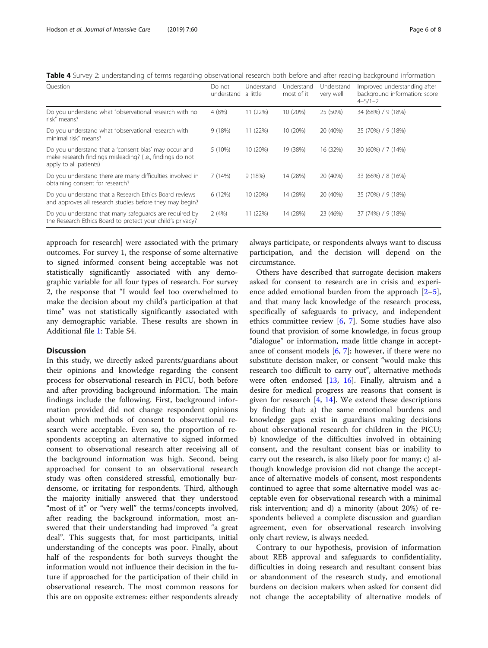<span id="page-5-0"></span>Table 4 Survey 2: understanding of terms regarding observational research both before and after reading background information

| Do not<br>understand | Understand<br>a little | Understand<br>most of it | Understand<br>very well | Improved understanding after<br>background information: score<br>$4 - 5/1 - 2$ |
|----------------------|------------------------|--------------------------|-------------------------|--------------------------------------------------------------------------------|
| 4 (8%)               | 11 (22%)               | 10 (20%)                 | 25 (50%)                | 34 (68%) / 9 (18%)                                                             |
| 9(18%)               | 11 (22%)               | 10 (20%)                 | 20 (40%)                | 35 (70%) / 9 (18%)                                                             |
| 5 (10%)              | 10 (20%)               | 19 (38%)                 | 16 (32%)                | 30 (60%) / 7 (14%)                                                             |
| 7 (14%)              | 9(18%)                 | 14 (28%)                 | 20 (40%)                | 33 (66%) / 8 (16%)                                                             |
| 6 (12%)              | 10 (20%)               | 14 (28%)                 | 20 (40%)                | 35 (70%) / 9 (18%)                                                             |
| 2(4%)                | 11 (22%)               | 14 (28%)                 | 23 (46%)                | 37 (74%) / 9 (18%)                                                             |
|                      |                        |                          |                         |                                                                                |

approach for research] were associated with the primary outcomes. For survey 1, the response of some alternative to signed informed consent being acceptable was not statistically significantly associated with any demographic variable for all four types of research. For survey 2, the response that "I would feel too overwhelmed to make the decision about my child's participation at that time" was not statistically significantly associated with any demographic variable. These results are shown in Additional file [1](#page-7-0): Table S4.

# Discussion

In this study, we directly asked parents/guardians about their opinions and knowledge regarding the consent process for observational research in PICU, both before and after providing background information. The main findings include the following. First, background information provided did not change respondent opinions about which methods of consent to observational research were acceptable. Even so, the proportion of respondents accepting an alternative to signed informed consent to observational research after receiving all of the background information was high. Second, being approached for consent to an observational research study was often considered stressful, emotionally burdensome, or irritating for respondents. Third, although the majority initially answered that they understood "most of it" or "very well" the terms/concepts involved, after reading the background information, most answered that their understanding had improved "a great deal". This suggests that, for most participants, initial understanding of the concepts was poor. Finally, about half of the respondents for both surveys thought the information would not influence their decision in the future if approached for the participation of their child in observational research. The most common reasons for this are on opposite extremes: either respondents already always participate, or respondents always want to discuss participation, and the decision will depend on the circumstance.

Others have described that surrogate decision makers asked for consent to research are in crisis and experience added emotional burden from the approach [\[2](#page-7-0)–[5](#page-7-0)], and that many lack knowledge of the research process, specifically of safeguards to privacy, and independent ethics committee review  $[6, 7]$  $[6, 7]$  $[6, 7]$ . Some studies have also found that provision of some knowledge, in focus group "dialogue" or information, made little change in acceptance of consent models [[6,](#page-7-0) [7](#page-7-0)]; however, if there were no substitute decision maker, or consent "would make this research too difficult to carry out", alternative methods were often endorsed [[13,](#page-7-0) [16](#page-7-0)]. Finally, altruism and a desire for medical progress are reasons that consent is given for research  $[4, 14]$  $[4, 14]$  $[4, 14]$ . We extend these descriptions by finding that: a) the same emotional burdens and knowledge gaps exist in guardians making decisions about observational research for children in the PICU; b) knowledge of the difficulties involved in obtaining consent, and the resultant consent bias or inability to carry out the research, is also likely poor for many; c) although knowledge provision did not change the acceptance of alternative models of consent, most respondents continued to agree that some alternative model was acceptable even for observational research with a minimal risk intervention; and d) a minority (about 20%) of respondents believed a complete discussion and guardian agreement, even for observational research involving only chart review, is always needed.

Contrary to our hypothesis, provision of information about REB approval and safeguards to confidentiality, difficulties in doing research and resultant consent bias or abandonment of the research study, and emotional burdens on decision makers when asked for consent did not change the acceptability of alternative models of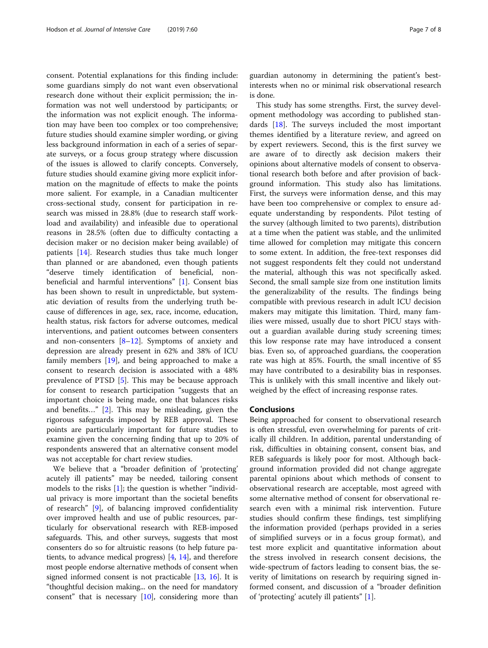consent. Potential explanations for this finding include: some guardians simply do not want even observational research done without their explicit permission; the information was not well understood by participants; or the information was not explicit enough. The information may have been too complex or too comprehensive; future studies should examine simpler wording, or giving less background information in each of a series of separate surveys, or a focus group strategy where discussion of the issues is allowed to clarify concepts. Conversely, future studies should examine giving more explicit information on the magnitude of effects to make the points more salient. For example, in a Canadian multicenter cross-sectional study, consent for participation in research was missed in 28.8% (due to research staff workload and availability) and infeasible due to operational reasons in 28.5% (often due to difficulty contacting a decision maker or no decision maker being available) of patients [[14\]](#page-7-0). Research studies thus take much longer than planned or are abandoned, even though patients "deserve timely identification of beneficial, nonbeneficial and harmful interventions" [\[1](#page-7-0)]. Consent bias has been shown to result in unpredictable, but systematic deviation of results from the underlying truth because of differences in age, sex, race, income, education, health status, risk factors for adverse outcomes, medical interventions, and patient outcomes between consenters and non-consenters [\[8](#page-7-0)–[12](#page-7-0)]. Symptoms of anxiety and depression are already present in 62% and 38% of ICU family members [[19\]](#page-7-0), and being approached to make a consent to research decision is associated with a 48% prevalence of PTSD [[5\]](#page-7-0). This may be because approach for consent to research participation "suggests that an important choice is being made, one that balances risks and benefits…" [[2\]](#page-7-0). This may be misleading, given the rigorous safeguards imposed by REB approval. These points are particularly important for future studies to examine given the concerning finding that up to 20% of respondents answered that an alternative consent model was not acceptable for chart review studies.

We believe that a "broader definition of 'protecting' acutely ill patients" may be needed, tailoring consent models to the risks  $[1]$  $[1]$ ; the question is whether "individual privacy is more important than the societal benefits of research" [[9\]](#page-7-0), of balancing improved confidentiality over improved health and use of public resources, particularly for observational research with REB-imposed safeguards. This, and other surveys, suggests that most consenters do so for altruistic reasons (to help future patients, to advance medical progress) [\[4,](#page-7-0) [14\]](#page-7-0), and therefore most people endorse alternative methods of consent when signed informed consent is not practicable [[13](#page-7-0), [16\]](#page-7-0). It is "thoughtful decision making... on the need for mandatory consent" that is necessary  $[10]$  $[10]$  $[10]$ , considering more than

guardian autonomy in determining the patient's bestinterests when no or minimal risk observational research is done.

This study has some strengths. First, the survey development methodology was according to published standards  $[18]$  $[18]$  $[18]$ . The surveys included the most important themes identified by a literature review, and agreed on by expert reviewers. Second, this is the first survey we are aware of to directly ask decision makers their opinions about alternative models of consent to observational research both before and after provision of background information. This study also has limitations. First, the surveys were information dense, and this may have been too comprehensive or complex to ensure adequate understanding by respondents. Pilot testing of the survey (although limited to two parents), distribution at a time when the patient was stable, and the unlimited time allowed for completion may mitigate this concern to some extent. In addition, the free-text responses did not suggest respondents felt they could not understand the material, although this was not specifically asked. Second, the small sample size from one institution limits the generalizability of the results. The findings being compatible with previous research in adult ICU decision makers may mitigate this limitation. Third, many families were missed, usually due to short PICU stays without a guardian available during study screening times; this low response rate may have introduced a consent bias. Even so, of approached guardians, the cooperation rate was high at 85%. Fourth, the small incentive of \$5 may have contributed to a desirability bias in responses. This is unlikely with this small incentive and likely outweighed by the effect of increasing response rates.

#### Conclusions

Being approached for consent to observational research is often stressful, even overwhelming for parents of critically ill children. In addition, parental understanding of risk, difficulties in obtaining consent, consent bias, and REB safeguards is likely poor for most. Although background information provided did not change aggregate parental opinions about which methods of consent to observational research are acceptable, most agreed with some alternative method of consent for observational research even with a minimal risk intervention. Future studies should confirm these findings, test simplifying the information provided (perhaps provided in a series of simplified surveys or in a focus group format), and test more explicit and quantitative information about the stress involved in research consent decisions, the wide-spectrum of factors leading to consent bias, the severity of limitations on research by requiring signed informed consent, and discussion of a "broader definition of 'protecting' acutely ill patients" [\[1](#page-7-0)].